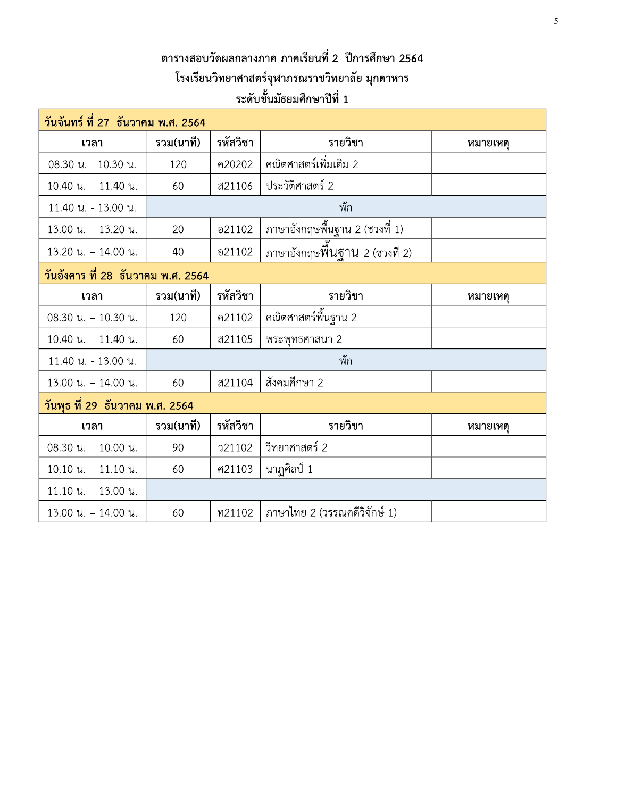## ิตารางสอบวัดผลกลางภาค ภาคเรียนที่ 2 ปีการศึกษา 2564 โรงเรียนวิทยาศาสตร์จุฬาภรณราชวิทยาลัย มุกดาหาร ระดับชั้นมัธยมศึกษาปีที่ 1

| วันจันทร์ ที่ 27 ธันวาคม พ.ศ. 2564 |           |               |                                 |          |  |
|------------------------------------|-----------|---------------|---------------------------------|----------|--|
| เวลา                               | รวม(นาที) | รหัสวิชา      | รายวิชา                         | หมายเหตุ |  |
| 08.30 น. - 10.30 น.                | 120       | ค20202        | คณิตศาสตร์เพิ่มเติม 2           |          |  |
| $10.40$ u. $-11.40$ u.             | 60        | ส21106        | ประวัติศาสตร์ 2                 |          |  |
| 11.40 น. - 13.00 น.                |           |               | พัก                             |          |  |
| $13.00$ u. - $13.20$ u.            | 20        | อ21102        | ภาษาอังกฤษพื้นฐาน 2 (ช่วงที่ 1) |          |  |
| $13.20$ u. - 14.00 u.              | 40        | อ21102        |                                 |          |  |
| วันอังคาร ที่ 28 ธันวาคม พ.ศ. 2564 |           |               |                                 |          |  |
| เวลา                               | รวม(นาที) | รหัสวิชา      | รายวิชา                         | หมายเหตุ |  |
| $08.30$ u. - 10.30 u.              | 120       | ค21102        | คณิตศาสตร์พื้นฐาน 2             |          |  |
| $10.40$ u. - $11.40$ u.            | 60        | ส21105        | พระพุทธศาสนา 2                  |          |  |
| 11.40 น. - 13.00 น.                |           |               | พัก                             |          |  |
| $13.00$ u. - $14.00$ u.            | 60        | ส21104        | สังคมศึกษา 2                    |          |  |
| วันพุธ ที่ 29 ธันวาคม พ.ศ. 2564    |           |               |                                 |          |  |
| เวลา                               | รวม(นาที) | รหัสวิชา      | รายวิชา                         | หมายเหตุ |  |
| $08.30$ $\mu$ . $- 10.00$ $\mu$ .  | 90        | <b>221102</b> | วิทยาศาสตร์ 2                   |          |  |
| $10.10$ $\mu$ . $- 11.10$ $\mu$ .  | 60        | ศ21103        | นาฏศิลป์ 1                      |          |  |
| $11.10$ u. - 13.00 u.              |           |               |                                 |          |  |
| $13.00$ u. - 14.00 u.              | 60        | ท21102        | ภาษาไทย 2 (วรรณคดีวิจักษ์ 1)    |          |  |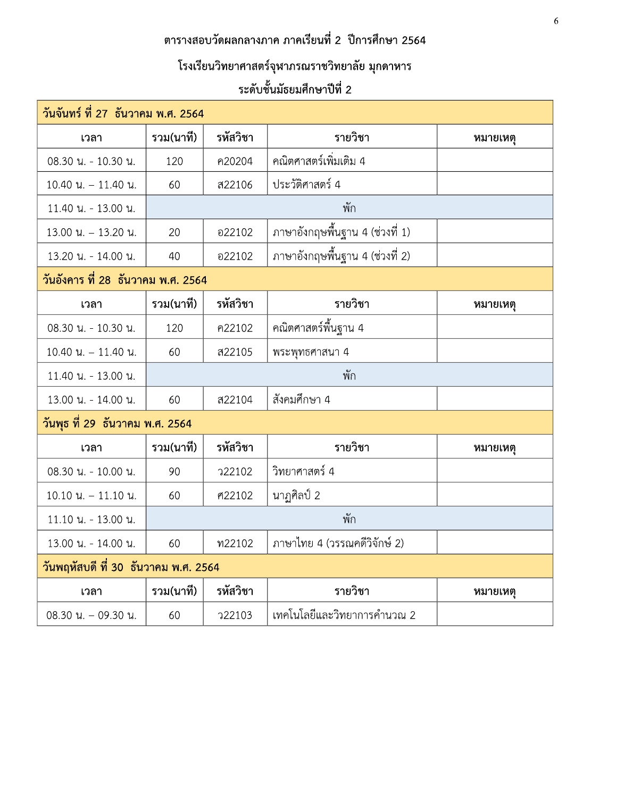## ิตารางสอบวัดผลกลางภาค ภาคเรียนที่ 2 ปีการศึกษา 2564

# โรงเรียนวิทยาศาสตร์จุฬาภรณราชวิทยาลัย มุกดาหาร

## ระดับชั้นมัธยมศึกษาปีที่ 2

| ้วันจันทร์ ที่ 27  ธันวาคม พ.ศ. 2564 |           |               |                                 |          |  |
|--------------------------------------|-----------|---------------|---------------------------------|----------|--|
| เวลา                                 | รวม(นาที) | รหัสวิชา      | รายวิชา                         | หมายเหตุ |  |
| 08.30 น. - 10.30 น.                  | 120       | ค20204        | ี คณิตศาสตร์เพิ่มเติม 4         |          |  |
| 10.40 น. - 11.40 น.                  | 60        | ส22106        | ประวัติศาสตร์ 4                 |          |  |
| 11.40 น. - 13.00 น.                  |           |               | พัก                             |          |  |
| $13.00$ $\mu$ . - 13.20 $\mu$ .      | 20        | อ22102        | ภาษาอังกฤษพื้นฐาน 4 (ช่วงที่ 1) |          |  |
| 13.20 น. - 14.00 น.                  | 40        | อ22102        | ภาษาอังกฤษพื้นฐาน 4 (ช่วงที่ 2) |          |  |
| วันอังคาร ที่ 28 ธันวาคม พ.ศ. 2564   |           |               |                                 |          |  |
| เวลา                                 | รวม(นาที) | รหัสวิชา      | รายวิชา                         | หมายเหตุ |  |
| 08.30 น. - 10.30 น.                  | 120       | ค22102        | ี คณิตศาสตร์พื้นฐาน 4           |          |  |
| $10.40$ u. - $11.40$ u.              | 60        | ส22105        | พระพุทธศาสนา 4                  |          |  |
| 11.40 น. - 13.00 น.                  |           |               | พัก                             |          |  |
| 13.00 น. - 14.00 น.                  | 60        | ส22104        | สังคมศึกษา 4                    |          |  |
| วันพุธ ที่ 29 ธันวาคม พ.ศ. 2564      |           |               |                                 |          |  |
| เวลา                                 | รวม(นาที) | รหัสวิชา      | รายวิชา                         | หมายเหตุ |  |
| 08.30 น. - 10.00 น.                  | 90        | <b>722102</b> | วิทยาศาสตร์ 4                   |          |  |
| $10.10$ $\mu$ . $-$ 11.10 $\mu$ .    | 60        | ศ22102        | ็นาฏศิลป์ 2                     |          |  |
| 11.10 น. - 13.00 น.                  |           |               | พัก                             |          |  |
| 13.00 น. - 14.00 น.                  | 60        | ท22102        | ภาษาไทย 4 (วรรณคดีวิจักษ์ 2)    |          |  |
| วันพฤหัสบดี ที่ 30 ธันวาคม พ.ศ. 2564 |           |               |                                 |          |  |
| เวลา                                 | รวม(นาที) | รหัสวิชา      | รายวิชา                         | หมายเหตุ |  |
| 08.30 น. - 09.30 น.                  | 60        | <b>722103</b> | เทคโนโลยีและวิทยาการคำนวณ 2     |          |  |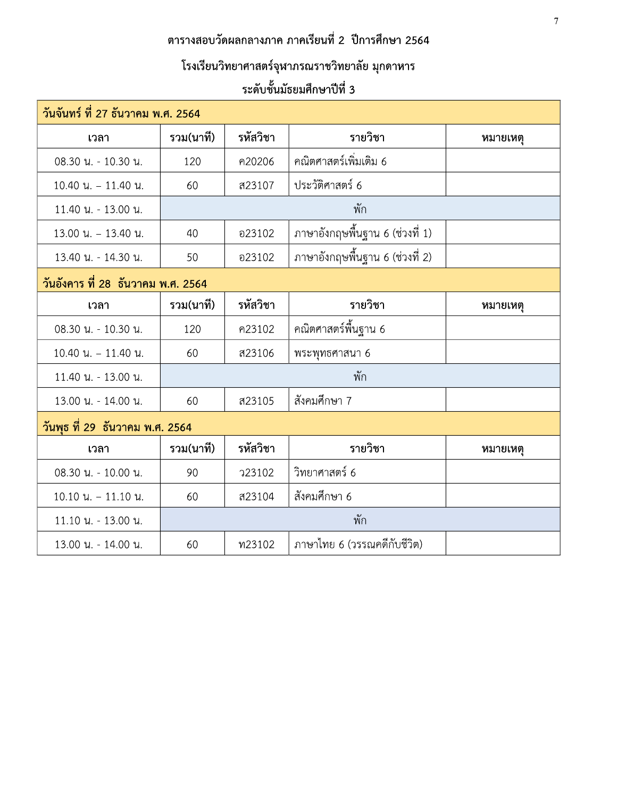## ิตารางสอบวัดผลกลางภาค ภาคเรียนที่ 2 ปีการศึกษา 2564

# โรงเรียนวิทยาศาสตร์จุฬาภรณราชวิทยาลัย มุกดาหาร

## ระดับชั้นมัธยมศึกษาปีที่ 3

| วันจันทร์ ที่ 27 ธันวาคม พ.ศ. 2564 |           |          |                                 |          |
|------------------------------------|-----------|----------|---------------------------------|----------|
| เวลา                               | รวม(นาที) | รหัสวิชา | รายวิชา                         | หมายเหตุ |
| 08.30 น. - 10.30 น.                | 120       | ค20206   | ึคณิตศาสตร์เพิ่มเติม 6          |          |
| $10.40$ $\mu$ . $- 11.40$ $\mu$ .  | 60        | ส23107   | ประวัติศาสตร์ 6                 |          |
| 11.40 น. - 13.00 น.                |           |          | พัก                             |          |
| $13.00$ u. - 13.40 u.              | 40        | อ23102   | ภาษาอังกฤษพื้นฐาน 6 (ช่วงที่ 1) |          |
| 13.40 น. - 14.30 น.                | 50        | อ23102   | ภาษาอังกฤษพื้นฐาน 6 (ช่วงที่ 2) |          |
| วันอังคาร ที่ 28 ธันวาคม พ.ศ. 2564 |           |          |                                 |          |
| เวลา                               | รวม(นาที) | รหัสวิชา | รายวิชา                         | หมายเหตุ |
| 08.30 น. - 10.30 น.                | 120       | ค23102   | คณิตศาสตร์พื้นฐาน 6             |          |
| $10.40$ u. - $11.40$ u.            | 60        | ส23106   | พระพุทธศาสนา 6                  |          |
| 11.40 น. - 13.00 น.                |           |          | พัก                             |          |
| 13.00 น. - 14.00 น.                | 60        | ส23105   | สังคมศึกษา 7                    |          |
| วันพุธ ที่ 29  ธันวาคม พ.ศ. 2564   |           |          |                                 |          |
| เวลา                               | รวม(นาที) | รหัสวิชา | รายวิชา                         | หมายเหตุ |
| 08.30 น. - 10.00 น.                | 90        | 723102   | วิทยาศาสตร์ 6                   |          |
| $10.10$ $\mu$ . $- 11.10$ $\mu$ .  | 60        | ส23104   | สังคมศึกษา 6                    |          |
| 11.10 น. - 13.00 น.                |           |          | พัก                             |          |
| 13.00 น. - 14.00 น.                | 60        | ท23102   | ิภาษาไทย 6 (วรรณคดีกับชีวิต)    |          |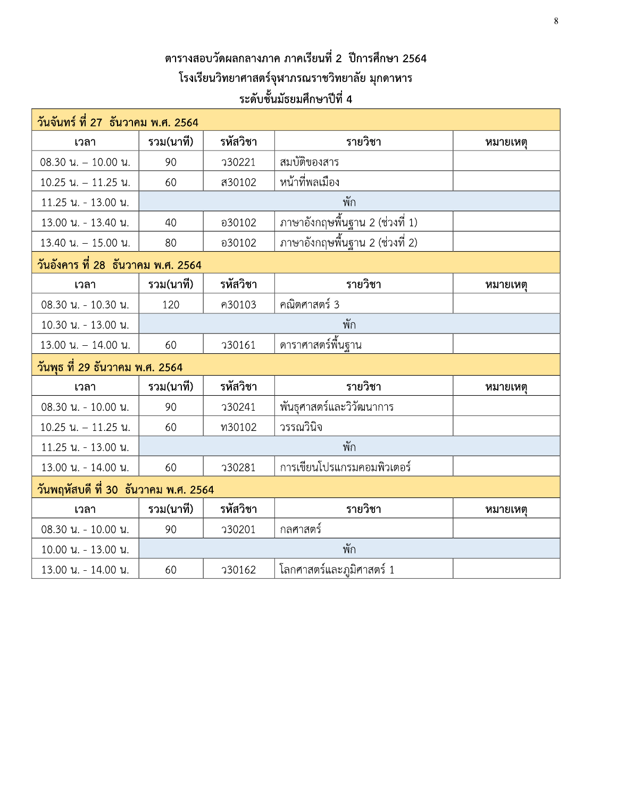## ตารางสอบวัดผลกลางภาค ภาคเรียนที่ 2 ปีการศึกษา 2564 โรงเรียนวิทยาศาสตร์จุฬาภรณราชวิทยาลัย มุกดาหาร ระดับชั้นมัธยมศึกษาปีที่ 4

| วันจันทร์ ที่ 27 ธันวาคม พ.ศ. 2564    |           |              |                                 |          |  |
|---------------------------------------|-----------|--------------|---------------------------------|----------|--|
| เวลา                                  | รวม(นาที) | รหัสวิชา     | รายวิชา                         | หมายเหตุ |  |
| 08.30 น. - 10.00 น.                   | 90        | 730221       | สมบัติของสาร                    |          |  |
| 10.25 น. - 11.25 น.                   | 60        | ส30102       | หน้าที่พลเมือง                  |          |  |
| 11.25 น. - 13.00 น.                   |           |              | พัก                             |          |  |
| 13.00 น. - 13.40 น.                   | 40        | อ30102       | ภาษาอังกฤษพื้นฐาน 2 (ช่วงที่ 1) |          |  |
| 13.40 น. - 15.00 น.                   | 80        | อ30102       | ภาษาอังกฤษพื้นฐาน 2 (ช่วงที่ 2) |          |  |
| ้วันอังคาร ที่ 28  ธันวาคม พ.ศ. 2564  |           |              |                                 |          |  |
| เวลา                                  | รวม(นาที) | รหัสวิชา     | รายวิชา                         | หมายเหตุ |  |
| 08.30 น. - 10.30 น.                   | 120       | ค30103       | คณิตศาสตร์ 3                    |          |  |
| 10.30 น. - 13.00 น.                   | พัก       |              |                                 |          |  |
| $13.00$ u. - $14.00$ u.               | 60        | <b>30161</b> | ดาราศาสตร์พื้นฐาน               |          |  |
| วันพุธ ที่ 29 ธันวาคม พ.ศ. 2564       |           |              |                                 |          |  |
| เวลา                                  | รวม(นาที) | รหัสวิชา     | รายวิชา                         | หมายเหตุ |  |
| 08.30 น. - 10.00 น.                   | 90        | 730241       | พันธุศาสตร์และวิวัฒนาการ        |          |  |
| 10.25 น. - 11.25 น.                   | 60        | ท30102       | วรรณวินิจ                       |          |  |
| 11.25 น. - 13.00 น.                   |           |              | พัก                             |          |  |
| 13.00 น. - 14.00 น.                   | 60        | 730281       | การเขียนโปรแกรมคอมพิวเตอร์      |          |  |
| ้วันพฤหัสบดี ที่ 30 ธันวาคม พ.ศ. 2564 |           |              |                                 |          |  |
| เวลา                                  | รวม(นาที) | รหัสวิชา     | รายวิชา                         | หมายเหตุ |  |
| 08.30 น. - 10.00 น.                   | 90        | 730201       | กลศาสตร์                        |          |  |
| 10.00 น. - 13.00 น.                   |           |              | พัก                             |          |  |
| 13.00 น. - 14.00 น.                   | 60        | 730162       | โลกศาสตร์และภูมิศาสตร์ 1        |          |  |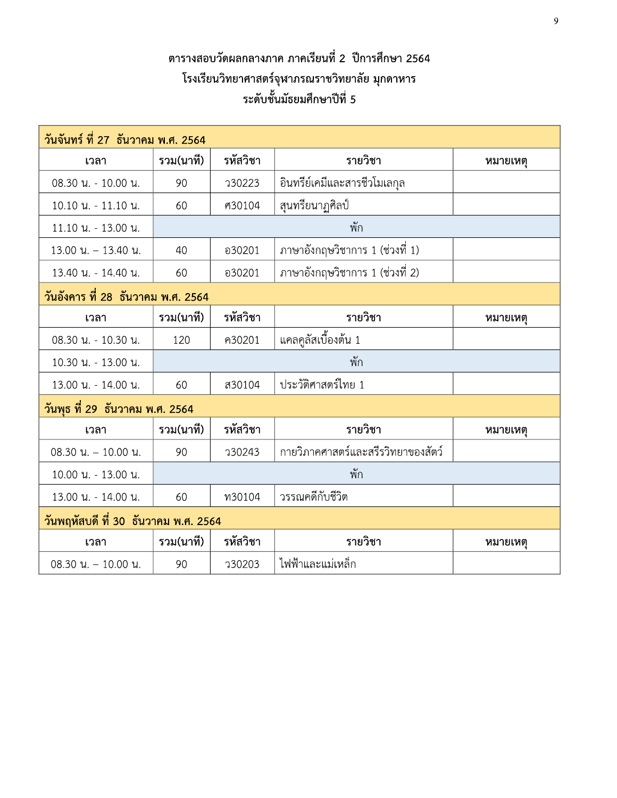## ิตารางสอบวัดผลกลางภาค ภาคเรียนที่ 2 ปีการศึกษา 2564 โรงเรียนวิทยาศาสตร์จุฬาภรณราชวิทยาลัย มุกดาหาร ระดับชั้นมัธยมศึกษาปีที่ 5

| วันจันทร์ ที่ 27 ธันวาคม พ.ศ. 2564    |           |          |                                    |          |  |
|---------------------------------------|-----------|----------|------------------------------------|----------|--|
| เวลา                                  | รวม(นาที) | รหัสวิชา | รายวิชา                            | หมายเหตุ |  |
| 08.30 น. - 10.00 น.                   | 90        | 730223   | อินทรีย์เคมีและสารชีวโมเลกุล       |          |  |
| 10.10 น. - 11.10 น.                   | 60        | ศ30104   | สุนทรียนาฏศิลป์                    |          |  |
| 11.10 น. - 13.00 น.                   |           |          | พัก                                |          |  |
| $13.00$ u. - $13.40$ u.               | 40        | อ30201   | ภาษาอังกฤษวิชาการ 1 (ช่วงที่ 1)    |          |  |
| 13.40 น. - 14.40 น.                   | 60        | อ30201   | ภาษาอังกฤษวิชาการ 1 (ช่วงที่ 2)    |          |  |
| ์วันอังคาร ที่ 28 ธันวาคม พ.ศ. 2564   |           |          |                                    |          |  |
| เวลา                                  | รวม(นาที) | รหัสวิชา | รายวิชา                            | หมายเหตุ |  |
| 08.30 น. - 10.30 น.                   | 120       | ค30201   | แคลคูลัสเบื้องต้น 1                |          |  |
| 10.30 น. - 13.00 น.                   |           |          | พัก                                |          |  |
| 13.00 น. - 14.00 น.                   | 60        | ส30104   | ประวัติศาสตร์ไทย 1                 |          |  |
| วันพุธ ที่ 29 ธันวาคม พ.ศ. 2564       |           |          |                                    |          |  |
| เวลา                                  | รวม(นาที) | รหัสวิชา | รายวิชา                            | หมายเหตุ |  |
| $08.30$ u. $-10.00$ u.                | 90        | 730243   | กายวิภาคศาสตร์และสรีรวิทยาของสัตว์ |          |  |
| 10.00 น. - 13.00 น.                   |           |          | พัก                                |          |  |
| 13.00 น. - 14.00 น.                   | 60        | พ30104   | วรรณคดีกับชีวิต                    |          |  |
| ้วันพฤหัสบดี ที่ 30 ธันวาคม พ.ศ. 2564 |           |          |                                    |          |  |
| เวลา                                  | รวม(นาที) | รหัสวิชา | รายวิชา                            | หมายเหตุ |  |
| $08.30$ u. $-10.00$ u.                | 90        | 730203   | ไฟฟ้าและแม่เหล็ก                   |          |  |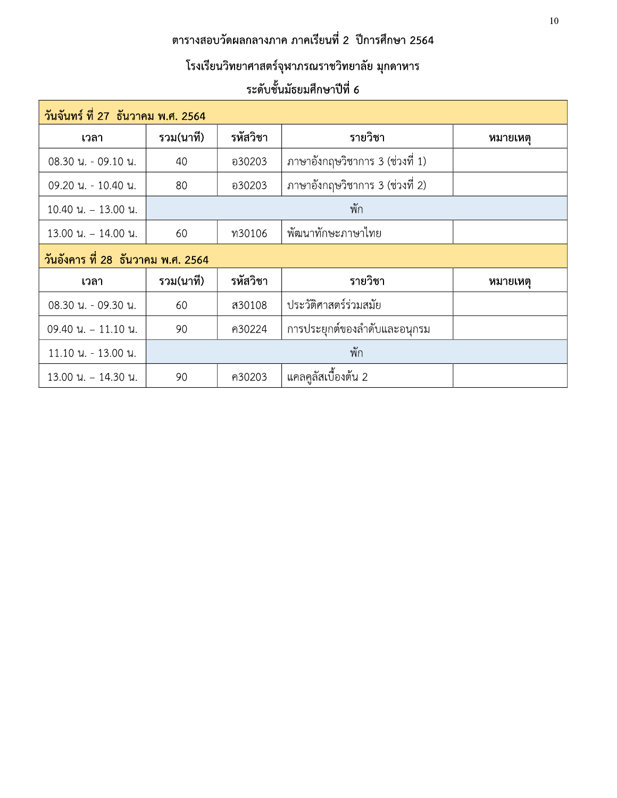## ิตารางสอบวัดผลกลางภาค ภาคเรียนที่ 2 ปีการศึกษา 2564

# โรงเรียนวิทยาศาสตร์จุฬาภรณราชวิทยาลัย มุกดาหาร

## ระดับชั้นมัธยมศึกษาปีที่ 6

| วันจันทร์ ที่ 27 ธันวาคม พ.ศ. 2564    |           |          |                                 |          |
|---------------------------------------|-----------|----------|---------------------------------|----------|
| เวลา                                  | รวม(นาที) | รหัสวิชา | รายวิชา                         | หมายเหตุ |
| 08.30 น. - 09.10 น.                   | 40        | อ30203   | ภาษาอังกฤษวิชาการ 3 (ช่วงที่ 1) |          |
| 09.20 น. - 10.40 น.                   | 80        | อ30203   | ภาษาอังกฤษวิชาการ 3 (ช่วงที่ 2) |          |
| $10.40$ u. $-13.00$ u.                |           |          | พัก                             |          |
| $13.00$ u. - 14.00 u.                 | 60        | พ30106   | พัฒนาทักษะภาษาไทย               |          |
| ้วันอังคาร ที่ 28 ธันวาคม พ.ศ. 2564   |           |          |                                 |          |
|                                       |           |          |                                 |          |
| เวลา                                  | รวม(นาที) | รหัสวิชา | รายวิชา                         | หมายเหต  |
| 08.30 น. - 09.30 น.                   | 60        | ส30108   | ประวัติศาสตร์ร่วมสมัย           |          |
| $09.40 \text{ u.} - 11.10 \text{ u.}$ | 90        | ค30224   | การประยุกต์ของลำดับและอนุกรม    |          |
| 11.10 น. - 13.00 น.                   |           |          | พัก                             |          |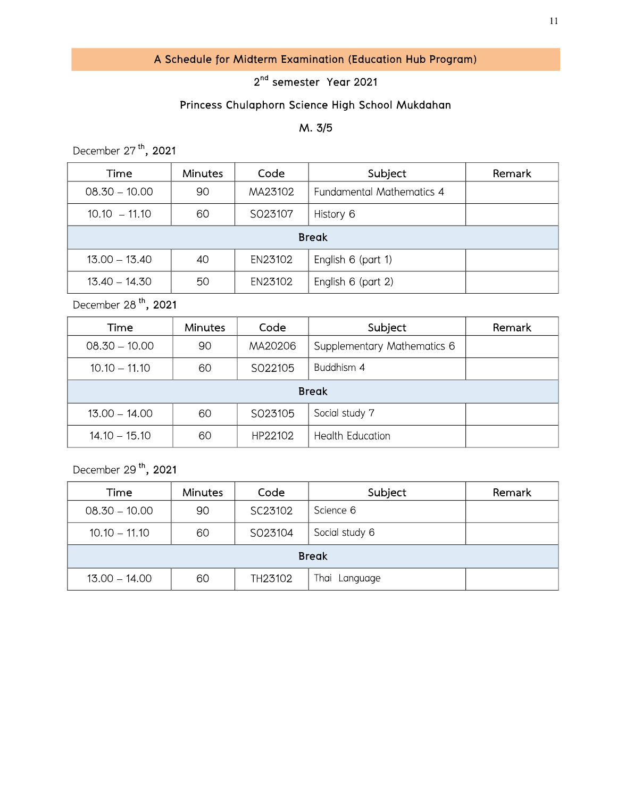### A Schedule for Midterm Examination (Education Hub Program)

#### 2<sup>nd</sup> semester Year 2021

### Princess Chulaphorn Science High School Mukc

|                                                            |                                    |         |                                                  | 11     |  |  |
|------------------------------------------------------------|------------------------------------|---------|--------------------------------------------------|--------|--|--|
| A Schedule for Midterm Examination (Education Hub Program) |                                    |         |                                                  |        |  |  |
|                                                            | 2 <sup>nd</sup> semester Year 2021 |         |                                                  |        |  |  |
|                                                            |                                    |         | Princess Chulaphorn Science High School Mukdahan |        |  |  |
|                                                            |                                    |         | M. 3/5                                           |        |  |  |
| December 27 <sup>th</sup> , 2021                           |                                    |         |                                                  |        |  |  |
| Time                                                       | <b>Minutes</b>                     | Code    | Subject                                          | Remark |  |  |
| $08.30 - 10.00$                                            | 90                                 | MA23102 | Fundamental Mathematics 4                        |        |  |  |
| $10.10 - 11.10$                                            | 60                                 | SO23107 | History 6                                        |        |  |  |
| <b>Break</b>                                               |                                    |         |                                                  |        |  |  |
|                                                            |                                    |         |                                                  |        |  |  |
| $13.00 - 13.40$                                            | 40                                 | EN23102 | English 6 (part 1)                               |        |  |  |

December 28<sup>th</sup>, 2021

| Time            | <b>Minutes</b> | Code    | Subject                     | Remark |  |  |
|-----------------|----------------|---------|-----------------------------|--------|--|--|
| $08.30 - 10.00$ | 90             | MA20206 | Supplementary Mathematics 6 |        |  |  |
| $10.10 - 11.10$ | 60             | SO22105 | Buddhism 4                  |        |  |  |
| <b>Break</b>    |                |         |                             |        |  |  |
| $13.00 - 14.00$ | 60             | SO23105 | Social study 7              |        |  |  |
| $14.10 - 15.10$ | 60             | HP22102 | <b>Health Education</b>     |        |  |  |

December 29<sup>th</sup>, 2021

| Time            | Minutes | Code    | Subject        | Remark |  |  |
|-----------------|---------|---------|----------------|--------|--|--|
| $08.30 - 10.00$ | 90      | SC23102 | Science 6      |        |  |  |
| $10.10 - 11.10$ | 60      | SO23104 | Social study 6 |        |  |  |
| <b>Break</b>    |         |         |                |        |  |  |
| $13.00 - 14.00$ | 60      | TH23102 | Thai Language  |        |  |  |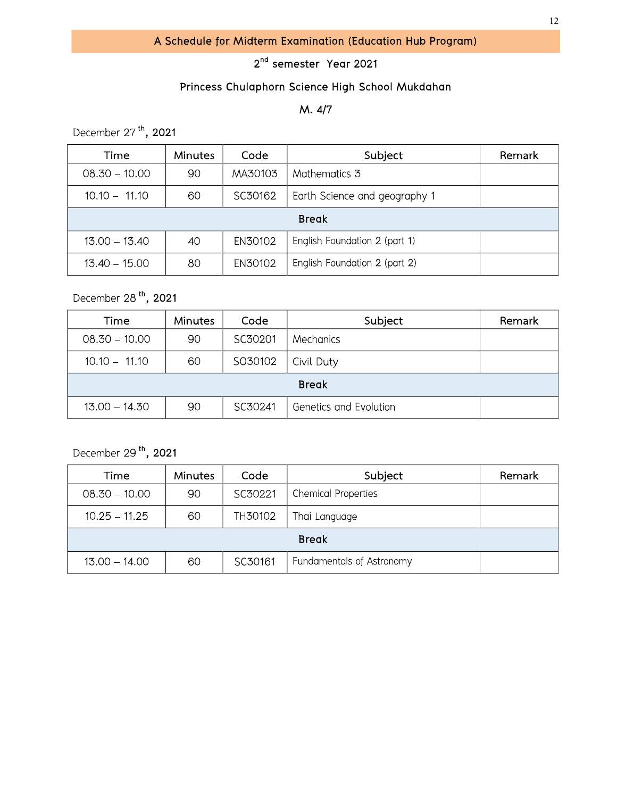#### 2<sup>nd</sup> semester Year 2021

#### Princess Chulaphorn Science High School Mukdahan

#### M. 4/7

December 27<sup>th</sup>, 2021

| Time            | <b>Minutes</b> | Code    | Subject                       | Remark |  |
|-----------------|----------------|---------|-------------------------------|--------|--|
| $08.30 - 10.00$ | 90             | MA30103 | Mathematics 3                 |        |  |
| $10.10 - 11.10$ | 60             | SC30162 | Earth Science and geography 1 |        |  |
| <b>Break</b>    |                |         |                               |        |  |
| $13.00 - 13.40$ | 40             | EN30102 | English Foundation 2 (part 1) |        |  |
| $13.40 - 15.00$ | 80             | EN30102 | English Foundation 2 (part 2) |        |  |

December 28<sup>th</sup>, 2021

| Time            | <b>Minutes</b> | Code    | Subject                | Remark |  |
|-----------------|----------------|---------|------------------------|--------|--|
| $08.30 - 10.00$ | 90             | SC30201 | Mechanics              |        |  |
| $10.10 - 11.10$ | 60             | S030102 | Civil Duty             |        |  |
| <b>Break</b>    |                |         |                        |        |  |
| $13.00 - 14.30$ | 90             | SC30241 | Genetics and Evolution |        |  |

December 29<sup>th</sup>, 2021

| Time            | <b>Minutes</b> | Code    | Subject                    | Remark |  |
|-----------------|----------------|---------|----------------------------|--------|--|
| $08.30 - 10.00$ | 90             | SC30221 | <b>Chemical Properties</b> |        |  |
| $10.25 - 11.25$ | 60             | TH30102 | Thai Language              |        |  |
| <b>Break</b>    |                |         |                            |        |  |
| $13.00 - 14.00$ | 60             | SC30161 | Fundamentals of Astronomy  |        |  |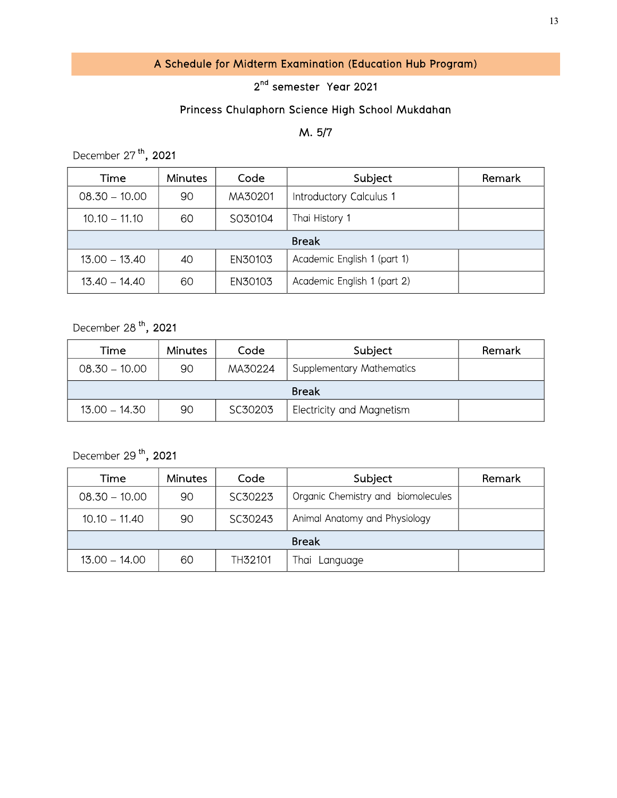## A Schedule for Midterm Examination (Education Hub Program)

#### 2<sup>nd</sup> semester Year 2021

### Princess Chulaphorn Science High School Mukc

| A Schedule for Midterm Examination (Education Hub Program) |                                                  |         |                             |        |  |  |
|------------------------------------------------------------|--------------------------------------------------|---------|-----------------------------|--------|--|--|
| 2 <sup>nd</sup> semester Year 2021                         |                                                  |         |                             |        |  |  |
|                                                            | Princess Chulaphorn Science High School Mukdahan |         |                             |        |  |  |
| M. 5/7                                                     |                                                  |         |                             |        |  |  |
| December 27 <sup>th</sup> , 2021                           |                                                  |         |                             |        |  |  |
| Time                                                       | <b>Minutes</b>                                   | Code    | Subject                     | Remark |  |  |
| $08.30 - 10.00$                                            | 90                                               | MA30201 | Introductory Calculus 1     |        |  |  |
| $10.10 - 11.10$                                            | 60                                               | S030104 | Thai History 1              |        |  |  |
| <b>Break</b>                                               |                                                  |         |                             |        |  |  |
| $13.00 - 13.40$                                            | 40                                               | EN30103 | Academic English 1 (part 1) |        |  |  |
| $13.40 - 14.40$                                            | 60                                               | EN30103 | Academic English 1 (part 2) |        |  |  |

December 28<sup>th</sup>, 2021

| Time            | <b>Minutes</b> | Code    | Subject                          | Remark |  |
|-----------------|----------------|---------|----------------------------------|--------|--|
| $08.30 - 10.00$ | 90             | MA30224 | <b>Supplementary Mathematics</b> |        |  |
| <b>Break</b>    |                |         |                                  |        |  |
| $13.00 - 14.30$ | 90             | SC30203 | <b>Electricity and Magnetism</b> |        |  |

December 29<sup>th</sup>, 2021

| Time            | Minutes | Code    | Subject                            | Remark |  |  |
|-----------------|---------|---------|------------------------------------|--------|--|--|
| $08.30 - 10.00$ | 90      | SC30223 | Organic Chemistry and biomolecules |        |  |  |
| $10.10 - 11.40$ | 90      | SC30243 | Animal Anatomy and Physiology      |        |  |  |
| <b>Break</b>    |         |         |                                    |        |  |  |
| $13.00 - 14.00$ | 60      | TH32101 | Thai Language                      |        |  |  |